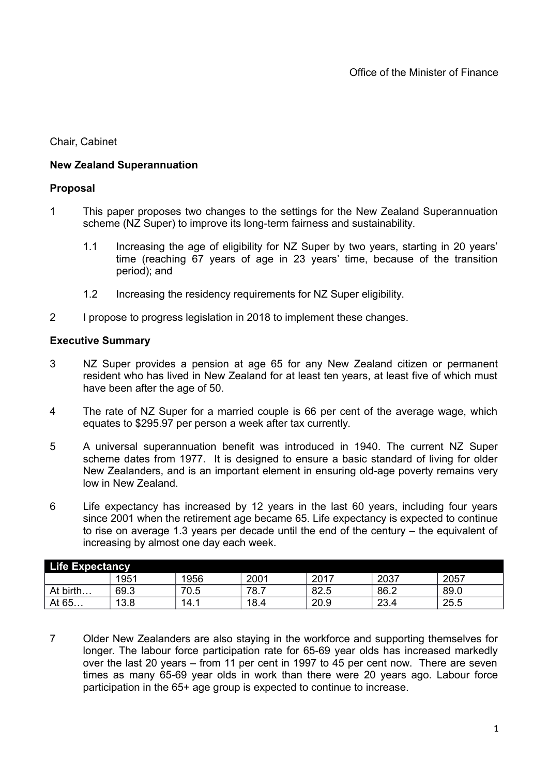Chair, Cabinet

# **New Zealand Superannuation**

# **Proposal**

- 1 This paper proposes two changes to the settings for the New Zealand Superannuation scheme (NZ Super) to improve its long-term fairness and sustainability.
	- 1.1 Increasing the age of eligibility for NZ Super by two years, starting in 20 years' time (reaching 67 years of age in 23 years' time, because of the transition period); and
	- 1.2 Increasing the residency requirements for NZ Super eligibility.
- 2 I propose to progress legislation in 2018 to implement these changes.

# **Executive Summary**

- 3 NZ Super provides a pension at age 65 for any New Zealand citizen or permanent resident who has lived in New Zealand for at least ten years, at least five of which must have been after the age of 50.
- 4 The rate of NZ Super for a married couple is 66 per cent of the average wage, which equates to \$295.97 per person a week after tax currently.
- 5 A universal superannuation benefit was introduced in 1940. The current NZ Super scheme dates from 1977. It is designed to ensure a basic standard of living for older New Zealanders, and is an important element in ensuring old-age poverty remains very low in New Zealand.
- 6 Life expectancy has increased by 12 years in the last 60 years, including four years since 2001 when the retirement age became 65. Life expectancy is expected to continue to rise on average 1.3 years per decade until the end of the century – the equivalent of increasing by almost one day each week.

| <b>Life Expectancy</b> |      |      |      |      |      |      |
|------------------------|------|------|------|------|------|------|
|                        | 1951 | 1956 | 2001 | 2017 | 2037 | 2057 |
| At birth               | 69.3 | 70.5 | 78.7 | 82.5 | 86.2 | 89.0 |
| At 65                  | 13.8 | 14.1 | 18.4 | 20.9 | 23.4 | 25.5 |

7 Older New Zealanders are also staying in the workforce and supporting themselves for longer. The labour force participation rate for 65-69 year olds has increased markedly over the last 20 years – from 11 per cent in 1997 to 45 per cent now. There are seven times as many 65-69 year olds in work than there were 20 years ago. Labour force participation in the 65+ age group is expected to continue to increase.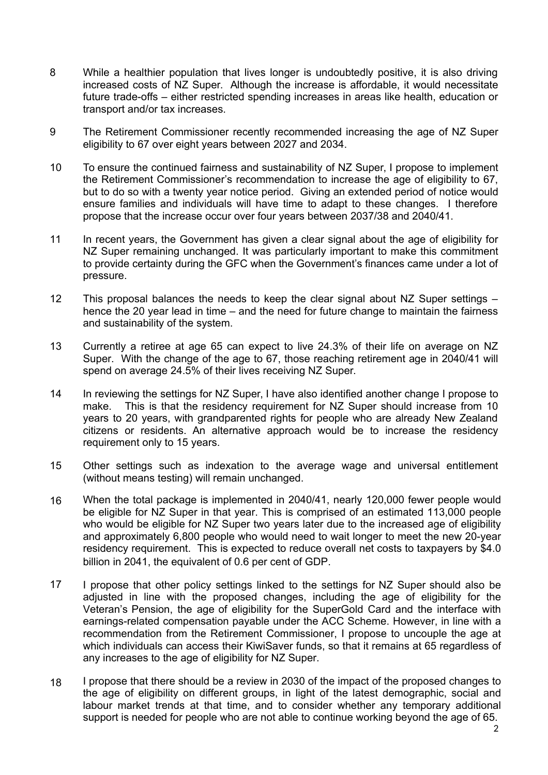- 8 While a healthier population that lives longer is undoubtedly positive, it is also driving increased costs of NZ Super. Although the increase is affordable, it would necessitate future trade-offs – either restricted spending increases in areas like health, education or transport and/or tax increases.
- 9 The Retirement Commissioner recently recommended increasing the age of NZ Super eligibility to 67 over eight years between 2027 and 2034.
- 10 To ensure the continued fairness and sustainability of NZ Super, I propose to implement the Retirement Commissioner's recommendation to increase the age of eligibility to 67, but to do so with a twenty year notice period. Giving an extended period of notice would ensure families and individuals will have time to adapt to these changes. I therefore propose that the increase occur over four years between 2037/38 and 2040/41.
- 11 In recent years, the Government has given a clear signal about the age of eligibility for NZ Super remaining unchanged. It was particularly important to make this commitment to provide certainty during the GFC when the Government's finances came under a lot of pressure.
- 12 This proposal balances the needs to keep the clear signal about NZ Super settings – hence the 20 year lead in time – and the need for future change to maintain the fairness and sustainability of the system.
- 13 Currently a retiree at age 65 can expect to live 24.3% of their life on average on NZ Super. With the change of the age to 67, those reaching retirement age in 2040/41 will spend on average 24.5% of their lives receiving NZ Super.
- 14 In reviewing the settings for NZ Super, I have also identified another change I propose to make. This is that the residency requirement for NZ Super should increase from 10 years to 20 years, with grandparented rights for people who are already New Zealand citizens or residents. An alternative approach would be to increase the residency requirement only to 15 years.
- 15 Other settings such as indexation to the average wage and universal entitlement (without means testing) will remain unchanged.
- 16 When the total package is implemented in 2040/41, nearly 120,000 fewer people would be eligible for NZ Super in that year. This is comprised of an estimated 113,000 people who would be eligible for NZ Super two years later due to the increased age of eligibility and approximately 6,800 people who would need to wait longer to meet the new 20-year residency requirement. This is expected to reduce overall net costs to taxpayers by \$4.0 billion in 2041, the equivalent of 0.6 per cent of GDP.
- 17 I propose that other policy settings linked to the settings for NZ Super should also be adjusted in line with the proposed changes, including the age of eligibility for the Veteran's Pension, the age of eligibility for the SuperGold Card and the interface with earnings-related compensation payable under the ACC Scheme. However, in line with a recommendation from the Retirement Commissioner, I propose to uncouple the age at which individuals can access their KiwiSaver funds, so that it remains at 65 regardless of any increases to the age of eligibility for NZ Super.
- 18 I propose that there should be a review in 2030 of the impact of the proposed changes to the age of eligibility on different groups, in light of the latest demographic, social and labour market trends at that time, and to consider whether any temporary additional support is needed for people who are not able to continue working beyond the age of 65.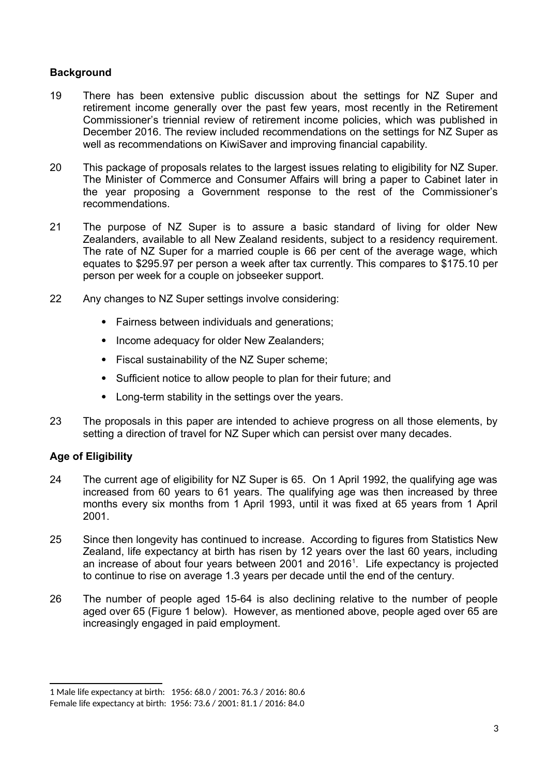# **Background**

- 19 There has been extensive public discussion about the settings for NZ Super and retirement income generally over the past few years, most recently in the Retirement Commissioner's triennial review of retirement income policies, which was published in December 2016. The review included recommendations on the settings for NZ Super as well as recommendations on KiwiSaver and improving financial capability.
- 20 This package of proposals relates to the largest issues relating to eligibility for NZ Super. The Minister of Commerce and Consumer Affairs will bring a paper to Cabinet later in the year proposing a Government response to the rest of the Commissioner's recommendations.
- 21 The purpose of NZ Super is to assure a basic standard of living for older New Zealanders, available to all New Zealand residents, subject to a residency requirement. The rate of NZ Super for a married couple is 66 per cent of the average wage, which equates to \$295.97 per person a week after tax currently. This compares to \$175.10 per person per week for a couple on jobseeker support.
- 22 Any changes to NZ Super settings involve considering:
	- Fairness between individuals and generations;
	- Income adequacy for older New Zealanders;
	- Fiscal sustainability of the NZ Super scheme;
	- Sufficient notice to allow people to plan for their future; and
	- Long-term stability in the settings over the years.
- 23 The proposals in this paper are intended to achieve progress on all those elements, by setting a direction of travel for NZ Super which can persist over many decades.

# **Age of Eligibility**

- 24 The current age of eligibility for NZ Super is 65. On 1 April 1992, the qualifying age was increased from 60 years to 61 years. The qualifying age was then increased by three months every six months from 1 April 1993, until it was fixed at 65 years from 1 April 2001.
- 25 Since then longevity has continued to increase. According to figures from Statistics New Zealand, life expectancy at birth has risen by 12 years over the last 60 years, including an increase of about four years between 200[1](#page-2-0) and 2016<sup>1</sup>. Life expectancy is projected to continue to rise on average 1.3 years per decade until the end of the century.
- 26 The number of people aged 15-64 is also declining relative to the number of people aged over 65 (Figure 1 below). However, as mentioned above, people aged over 65 are increasingly engaged in paid employment.

<span id="page-2-0"></span><sup>1</sup> Male life expectancy at birth: 1956: 68.0 / 2001: 76.3 / 2016: 80.6 Female life expectancy at birth: 1956: 73.6 / 2001: 81.1 / 2016: 84.0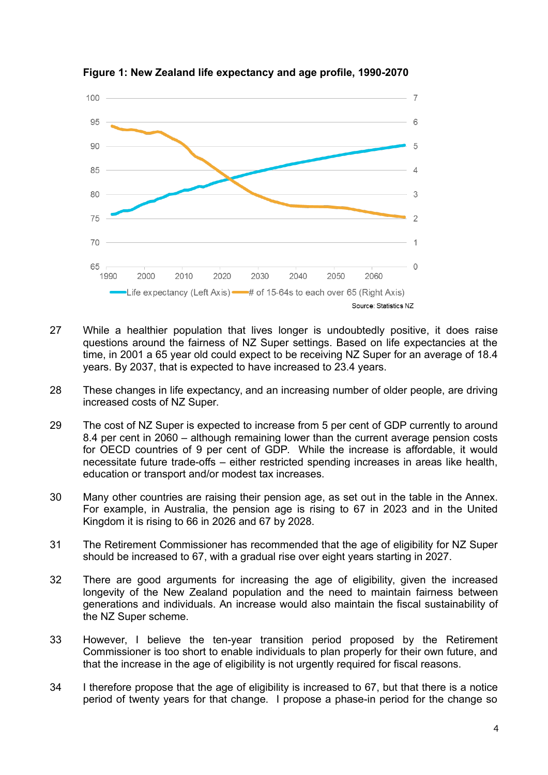

**Figure 1: New Zealand life expectancy and age profile, 1990-2070**

- 27 While a healthier population that lives longer is undoubtedly positive, it does raise questions around the fairness of NZ Super settings. Based on life expectancies at the time, in 2001 a 65 year old could expect to be receiving NZ Super for an average of 18.4 years. By 2037, that is expected to have increased to 23.4 years.
- 28 These changes in life expectancy, and an increasing number of older people, are driving increased costs of NZ Super.
- 29 The cost of NZ Super is expected to increase from 5 per cent of GDP currently to around 8.4 per cent in 2060 – although remaining lower than the current average pension costs for OECD countries of 9 per cent of GDP. While the increase is affordable, it would necessitate future trade-offs – either restricted spending increases in areas like health, education or transport and/or modest tax increases.
- 30 Many other countries are raising their pension age, as set out in the table in the Annex. For example, in Australia, the pension age is rising to 67 in 2023 and in the United Kingdom it is rising to 66 in 2026 and 67 by 2028.
- 31 The Retirement Commissioner has recommended that the age of eligibility for NZ Super should be increased to 67, with a gradual rise over eight years starting in 2027.
- 32 There are good arguments for increasing the age of eligibility, given the increased longevity of the New Zealand population and the need to maintain fairness between generations and individuals. An increase would also maintain the fiscal sustainability of the NZ Super scheme.
- 33 However, I believe the ten-year transition period proposed by the Retirement Commissioner is too short to enable individuals to plan properly for their own future, and that the increase in the age of eligibility is not urgently required for fiscal reasons.
- 34 I therefore propose that the age of eligibility is increased to 67, but that there is a notice period of twenty years for that change. I propose a phase-in period for the change so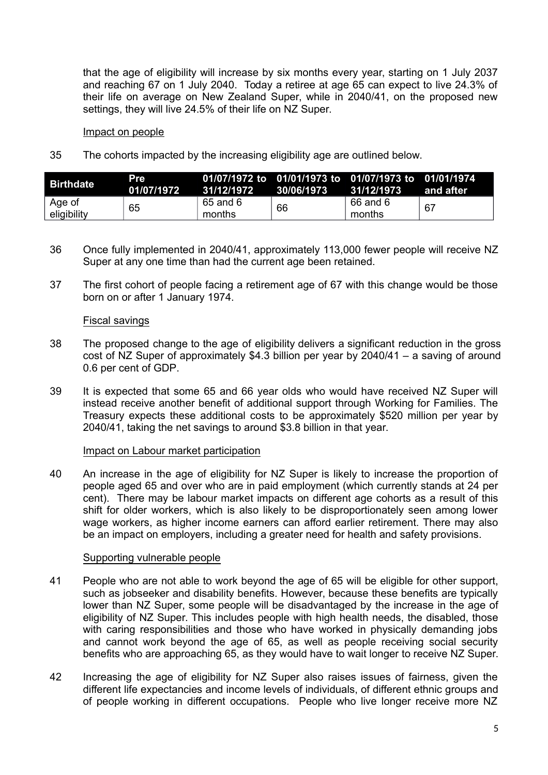that the age of eligibility will increase by six months every year, starting on 1 July 2037 and reaching 67 on 1 July 2040. Today a retiree at age 65 can expect to live 24.3% of their life on average on New Zealand Super, while in 2040/41, on the proposed new settings, they will live 24.5% of their life on NZ Super.

#### Impact on people

35 The cohorts impacted by the increasing eligibility age are outlined below.

| <b>Birthdate</b>      | Pre<br>01/07/1972 | . 31/12/1972       | 30/06/1973 | 01/07/1972 to 01/01/1973 to 01/07/1973 to 01/01/1974<br>31/12/1973 | and after |
|-----------------------|-------------------|--------------------|------------|--------------------------------------------------------------------|-----------|
| Age of<br>eligibility | 65                | 65 and 6<br>months | 66         | 66 and 6<br>months                                                 | -67       |

- 36 Once fully implemented in 2040/41, approximately 113,000 fewer people will receive NZ Super at any one time than had the current age been retained.
- 37 The first cohort of people facing a retirement age of 67 with this change would be those born on or after 1 January 1974.

### Fiscal savings

- 38 The proposed change to the age of eligibility delivers a significant reduction in the gross cost of NZ Super of approximately \$4.3 billion per year by 2040/41 – a saving of around 0.6 per cent of GDP.
- 39 It is expected that some 65 and 66 year olds who would have received NZ Super will instead receive another benefit of additional support through Working for Families. The Treasury expects these additional costs to be approximately \$520 million per year by 2040/41, taking the net savings to around \$3.8 billion in that year.

### Impact on Labour market participation

40 An increase in the age of eligibility for NZ Super is likely to increase the proportion of people aged 65 and over who are in paid employment (which currently stands at 24 per cent). There may be labour market impacts on different age cohorts as a result of this shift for older workers, which is also likely to be disproportionately seen among lower wage workers, as higher income earners can afford earlier retirement. There may also be an impact on employers, including a greater need for health and safety provisions.

### Supporting vulnerable people

- 41 People who are not able to work beyond the age of 65 will be eligible for other support, such as jobseeker and disability benefits. However, because these benefits are typically lower than NZ Super, some people will be disadvantaged by the increase in the age of eligibility of NZ Super. This includes people with high health needs, the disabled, those with caring responsibilities and those who have worked in physically demanding jobs and cannot work beyond the age of 65, as well as people receiving social security benefits who are approaching 65, as they would have to wait longer to receive NZ Super.
- 42 Increasing the age of eligibility for NZ Super also raises issues of fairness, given the different life expectancies and income levels of individuals, of different ethnic groups and of people working in different occupations. People who live longer receive more NZ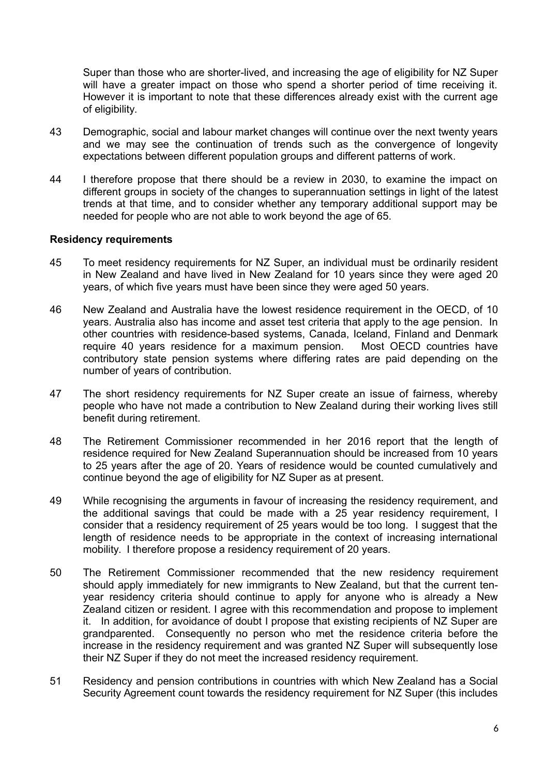Super than those who are shorter-lived, and increasing the age of eligibility for NZ Super will have a greater impact on those who spend a shorter period of time receiving it. However it is important to note that these differences already exist with the current age of eligibility.

- 43 Demographic, social and labour market changes will continue over the next twenty years and we may see the continuation of trends such as the convergence of longevity expectations between different population groups and different patterns of work.
- 44 I therefore propose that there should be a review in 2030, to examine the impact on different groups in society of the changes to superannuation settings in light of the latest trends at that time, and to consider whether any temporary additional support may be needed for people who are not able to work beyond the age of 65.

### **Residency requirements**

- 45 To meet residency requirements for NZ Super, an individual must be ordinarily resident in New Zealand and have lived in New Zealand for 10 years since they were aged 20 years, of which five years must have been since they were aged 50 years.
- 46 New Zealand and Australia have the lowest residence requirement in the OECD, of 10 years. Australia also has income and asset test criteria that apply to the age pension. In other countries with residence-based systems, Canada, Iceland, Finland and Denmark require 40 years residence for a maximum pension. Most OECD countries have contributory state pension systems where differing rates are paid depending on the number of years of contribution.
- 47 The short residency requirements for NZ Super create an issue of fairness, whereby people who have not made a contribution to New Zealand during their working lives still benefit during retirement.
- 48 The Retirement Commissioner recommended in her 2016 report that the length of residence required for New Zealand Superannuation should be increased from 10 years to 25 years after the age of 20. Years of residence would be counted cumulatively and continue beyond the age of eligibility for NZ Super as at present.
- 49 While recognising the arguments in favour of increasing the residency requirement, and the additional savings that could be made with a 25 year residency requirement, I consider that a residency requirement of 25 years would be too long. I suggest that the length of residence needs to be appropriate in the context of increasing international mobility. I therefore propose a residency requirement of 20 years.
- 50 The Retirement Commissioner recommended that the new residency requirement should apply immediately for new immigrants to New Zealand, but that the current tenyear residency criteria should continue to apply for anyone who is already a New Zealand citizen or resident. I agree with this recommendation and propose to implement it. In addition, for avoidance of doubt I propose that existing recipients of NZ Super are grandparented. Consequently no person who met the residence criteria before the increase in the residency requirement and was granted NZ Super will subsequently lose their NZ Super if they do not meet the increased residency requirement.
- 51 Residency and pension contributions in countries with which New Zealand has a Social Security Agreement count towards the residency requirement for NZ Super (this includes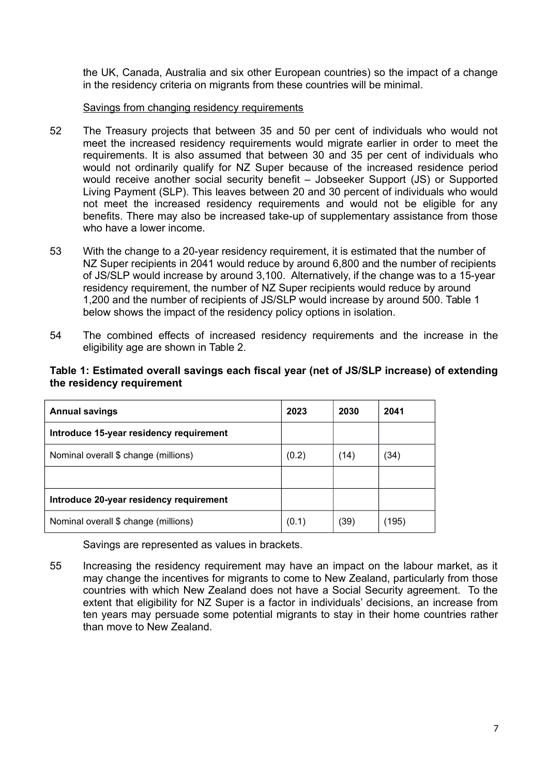the UK, Canada, Australia and six other European countries) so the impact of a change in the residency criteria on migrants from these countries will be minimal.

# Savings from changing residency requirements

- 52 The Treasury projects that between 35 and 50 per cent of individuals who would not meet the increased residency requirements would migrate earlier in order to meet the requirements. It is also assumed that between 30 and 35 per cent of individuals who would not ordinarily qualify for NZ Super because of the increased residence period would receive another social security benefit – Jobseeker Support (JS) or Supported Living Payment (SLP). This leaves between 20 and 30 percent of individuals who would not meet the increased residency requirements and would not be eligible for any benefits. There may also be increased take-up of supplementary assistance from those who have a lower income.
- 53 With the change to a 20-year residency requirement, it is estimated that the number of NZ Super recipients in 2041 would reduce by around 6,800 and the number of recipients of JS/SLP would increase by around 3,100. Alternatively, if the change was to a 15-year residency requirement, the number of NZ Super recipients would reduce by around 1,200 and the number of recipients of JS/SLP would increase by around 500. Table 1 below shows the impact of the residency policy options in isolation.
- 54 The combined effects of increased residency requirements and the increase in the eligibility age are shown in Table 2.

#### **Table 1: Estimated overall savings each fiscal year (net of JS/SLP increase) of extending the residency requirement**

| <b>Annual savings</b>                   | 2023  | 2030 | 2041 |
|-----------------------------------------|-------|------|------|
| Introduce 15-year residency requirement |       |      |      |
| Nominal overall \$ change (millions)    | (0.2) | (14) | (34) |
|                                         |       |      |      |
| Introduce 20-year residency requirement |       |      |      |
| Nominal overall \$ change (millions)    | (0.1) | (39) | 195) |

Savings are represented as values in brackets.

55 Increasing the residency requirement may have an impact on the labour market, as it may change the incentives for migrants to come to New Zealand, particularly from those countries with which New Zealand does not have a Social Security agreement. To the extent that eligibility for NZ Super is a factor in individuals' decisions, an increase from ten years may persuade some potential migrants to stay in their home countries rather than move to New Zealand.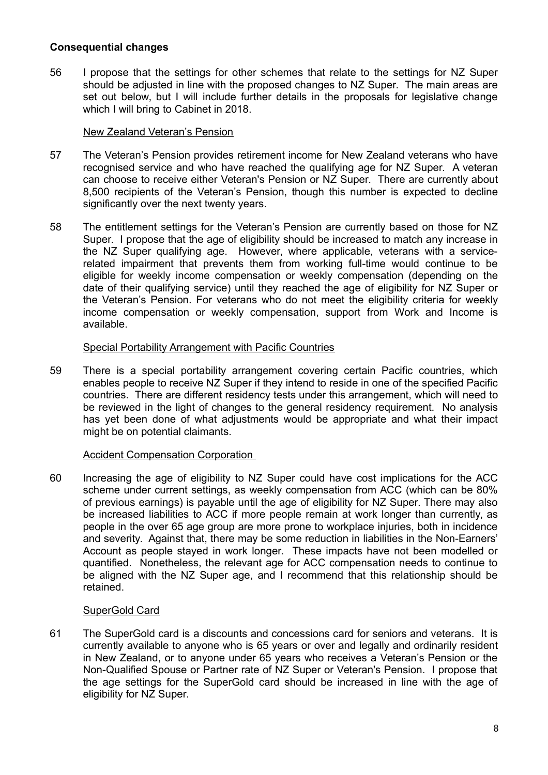# **Consequential changes**

56 I propose that the settings for other schemes that relate to the settings for NZ Super should be adjusted in line with the proposed changes to NZ Super. The main areas are set out below, but I will include further details in the proposals for legislative change which I will bring to Cabinet in 2018.

### New Zealand Veteran's Pension

- 57 The Veteran's Pension provides retirement income for New Zealand veterans who have recognised service and who have reached the qualifying age for NZ Super. A veteran can choose to receive either Veteran's Pension or NZ Super. There are currently about 8,500 recipients of the Veteran's Pension, though this number is expected to decline significantly over the next twenty years.
- 58 The entitlement settings for the Veteran's Pension are currently based on those for NZ Super. I propose that the age of eligibility should be increased to match any increase in the NZ Super qualifying age. However, where applicable, veterans with a servicerelated impairment that prevents them from working full-time would continue to be eligible for weekly income compensation or weekly compensation (depending on the date of their qualifying service) until they reached the age of eligibility for NZ Super or the Veteran's Pension. For veterans who do not meet the eligibility criteria for weekly income compensation or weekly compensation, support from Work and Income is available.

### Special Portability Arrangement with Pacific Countries

59 There is a special portability arrangement covering certain Pacific countries, which enables people to receive NZ Super if they intend to reside in one of the specified Pacific countries. There are different residency tests under this arrangement, which will need to be reviewed in the light of changes to the general residency requirement. No analysis has yet been done of what adjustments would be appropriate and what their impact might be on potential claimants.

# Accident Compensation Corporation

60 Increasing the age of eligibility to NZ Super could have cost implications for the ACC scheme under current settings, as weekly compensation from ACC (which can be 80% of previous earnings) is payable until the age of eligibility for NZ Super. There may also be increased liabilities to ACC if more people remain at work longer than currently, as people in the over 65 age group are more prone to workplace injuries, both in incidence and severity. Against that, there may be some reduction in liabilities in the Non-Earners' Account as people stayed in work longer. These impacts have not been modelled or quantified. Nonetheless, the relevant age for ACC compensation needs to continue to be aligned with the NZ Super age, and I recommend that this relationship should be retained.

# SuperGold Card

61 The SuperGold card is a discounts and concessions card for seniors and veterans. It is currently available to anyone who is 65 years or over and legally and ordinarily resident in New Zealand, or to anyone under 65 years who receives a Veteran's Pension or the Non-Qualified Spouse or Partner rate of NZ Super or Veteran's Pension. I propose that the age settings for the SuperGold card should be increased in line with the age of eligibility for NZ Super.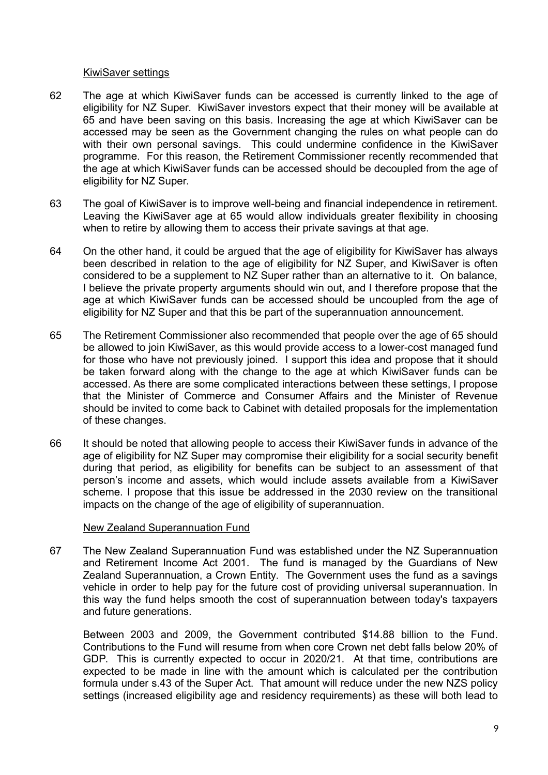#### KiwiSaver settings

- 62 The age at which KiwiSaver funds can be accessed is currently linked to the age of eligibility for NZ Super. KiwiSaver investors expect that their money will be available at 65 and have been saving on this basis. Increasing the age at which KiwiSaver can be accessed may be seen as the Government changing the rules on what people can do with their own personal savings. This could undermine confidence in the KiwiSaver programme. For this reason, the Retirement Commissioner recently recommended that the age at which KiwiSaver funds can be accessed should be decoupled from the age of eligibility for NZ Super.
- 63 The goal of KiwiSaver is to improve well-being and financial independence in retirement. Leaving the KiwiSaver age at 65 would allow individuals greater flexibility in choosing when to retire by allowing them to access their private savings at that age.
- 64 On the other hand, it could be argued that the age of eligibility for KiwiSaver has always been described in relation to the age of eligibility for NZ Super, and KiwiSaver is often considered to be a supplement to NZ Super rather than an alternative to it. On balance, I believe the private property arguments should win out, and I therefore propose that the age at which KiwiSaver funds can be accessed should be uncoupled from the age of eligibility for NZ Super and that this be part of the superannuation announcement.
- 65 The Retirement Commissioner also recommended that people over the age of 65 should be allowed to join KiwiSaver, as this would provide access to a lower-cost managed fund for those who have not previously joined. I support this idea and propose that it should be taken forward along with the change to the age at which KiwiSaver funds can be accessed. As there are some complicated interactions between these settings, I propose that the Minister of Commerce and Consumer Affairs and the Minister of Revenue should be invited to come back to Cabinet with detailed proposals for the implementation of these changes.
- 66 It should be noted that allowing people to access their KiwiSaver funds in advance of the age of eligibility for NZ Super may compromise their eligibility for a social security benefit during that period, as eligibility for benefits can be subject to an assessment of that person's income and assets, which would include assets available from a KiwiSaver scheme. I propose that this issue be addressed in the 2030 review on the transitional impacts on the change of the age of eligibility of superannuation.

### New Zealand Superannuation Fund

67 The New Zealand Superannuation Fund was established under the NZ Superannuation and Retirement Income Act 2001. The fund is managed by the Guardians of New Zealand Superannuation, a Crown Entity. The Government uses the fund as a savings vehicle in order to help pay for the future cost of providing universal superannuation. In this way the fund helps smooth the cost of superannuation between today's taxpayers and future generations.

Between 2003 and 2009, the Government contributed \$14.88 billion to the Fund. Contributions to the Fund will resume from when core Crown net debt falls below 20% of GDP. This is currently expected to occur in 2020/21. At that time, contributions are expected to be made in line with the amount which is calculated per the contribution formula under s.43 of the Super Act. That amount will reduce under the new NZS policy settings (increased eligibility age and residency requirements) as these will both lead to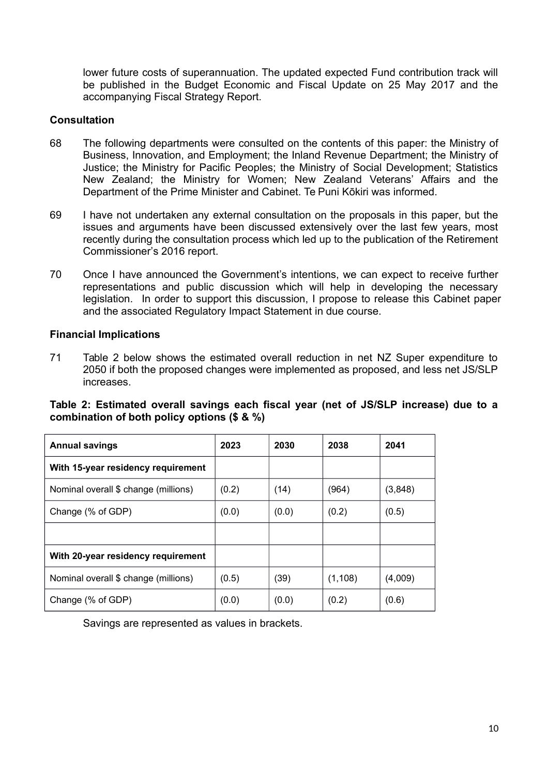lower future costs of superannuation. The updated expected Fund contribution track will be published in the Budget Economic and Fiscal Update on 25 May 2017 and the accompanying Fiscal Strategy Report.

# **Consultation**

- 68 The following departments were consulted on the contents of this paper: the Ministry of Business, Innovation, and Employment; the Inland Revenue Department; the Ministry of Justice; the Ministry for Pacific Peoples; the Ministry of Social Development; Statistics New Zealand; the Ministry for Women; New Zealand Veterans' Affairs and the Department of the Prime Minister and Cabinet. Te Puni Kōkiri was informed.
- 69 I have not undertaken any external consultation on the proposals in this paper, but the issues and arguments have been discussed extensively over the last few years, most recently during the consultation process which led up to the publication of the Retirement Commissioner's 2016 report.
- 70 Once I have announced the Government's intentions, we can expect to receive further representations and public discussion which will help in developing the necessary legislation. In order to support this discussion, I propose to release this Cabinet paper and the associated Regulatory Impact Statement in due course.

# **Financial Implications**

71 Table 2 below shows the estimated overall reduction in net NZ Super expenditure to 2050 if both the proposed changes were implemented as proposed, and less net JS/SLP increases.

# **Table 2: Estimated overall savings each fiscal year (net of JS/SLP increase) due to a combination of both policy options (\$ & %)**

| <b>Annual savings</b>                | 2023  | 2030  | 2038     | 2041    |
|--------------------------------------|-------|-------|----------|---------|
| With 15-year residency requirement   |       |       |          |         |
| Nominal overall \$ change (millions) | (0.2) | (14)  | (964)    | (3,848) |
| Change (% of GDP)                    | (0.0) | (0.0) | (0.2)    | (0.5)   |
|                                      |       |       |          |         |
| With 20-year residency requirement   |       |       |          |         |
| Nominal overall \$ change (millions) | (0.5) | (39)  | (1, 108) | (4,009) |
| Change (% of GDP)                    | (0.0) | (0.0) | (0.2)    | (0.6)   |

Savings are represented as values in brackets.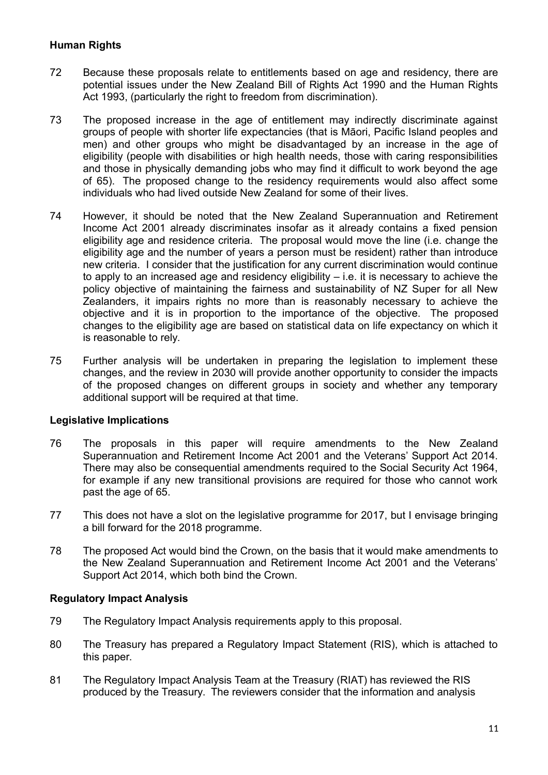# **Human Rights**

- 72 Because these proposals relate to entitlements based on age and residency, there are potential issues under the New Zealand Bill of Rights Act 1990 and the Human Rights Act 1993, (particularly the right to freedom from discrimination).
- 73 The proposed increase in the age of entitlement may indirectly discriminate against groups of people with shorter life expectancies (that is Māori, Pacific Island peoples and men) and other groups who might be disadvantaged by an increase in the age of eligibility (people with disabilities or high health needs, those with caring responsibilities and those in physically demanding jobs who may find it difficult to work beyond the age of 65). The proposed change to the residency requirements would also affect some individuals who had lived outside New Zealand for some of their lives.
- 74 However, it should be noted that the New Zealand Superannuation and Retirement Income Act 2001 already discriminates insofar as it already contains a fixed pension eligibility age and residence criteria. The proposal would move the line (i.e. change the eligibility age and the number of years a person must be resident) rather than introduce new criteria. I consider that the justification for any current discrimination would continue to apply to an increased age and residency eligibility  $-$  i.e. it is necessary to achieve the policy objective of maintaining the fairness and sustainability of NZ Super for all New Zealanders, it impairs rights no more than is reasonably necessary to achieve the objective and it is in proportion to the importance of the objective. The proposed changes to the eligibility age are based on statistical data on life expectancy on which it is reasonable to rely.
- 75 Further analysis will be undertaken in preparing the legislation to implement these changes, and the review in 2030 will provide another opportunity to consider the impacts of the proposed changes on different groups in society and whether any temporary additional support will be required at that time.

# **Legislative Implications**

- 76 The proposals in this paper will require amendments to the New Zealand Superannuation and Retirement Income Act 2001 and the Veterans' Support Act 2014. There may also be consequential amendments required to the Social Security Act 1964, for example if any new transitional provisions are required for those who cannot work past the age of 65.
- 77 This does not have a slot on the legislative programme for 2017, but I envisage bringing a bill forward for the 2018 programme.
- 78 The proposed Act would bind the Crown, on the basis that it would make amendments to the New Zealand Superannuation and Retirement Income Act 2001 and the Veterans' Support Act 2014, which both bind the Crown.

### **Regulatory Impact Analysis**

- 79 The Regulatory Impact Analysis requirements apply to this proposal.
- 80 The Treasury has prepared a Regulatory Impact Statement (RIS), which is attached to this paper.
- 81 The Regulatory Impact Analysis Team at the Treasury (RIAT) has reviewed the RIS produced by the Treasury. The reviewers consider that the information and analysis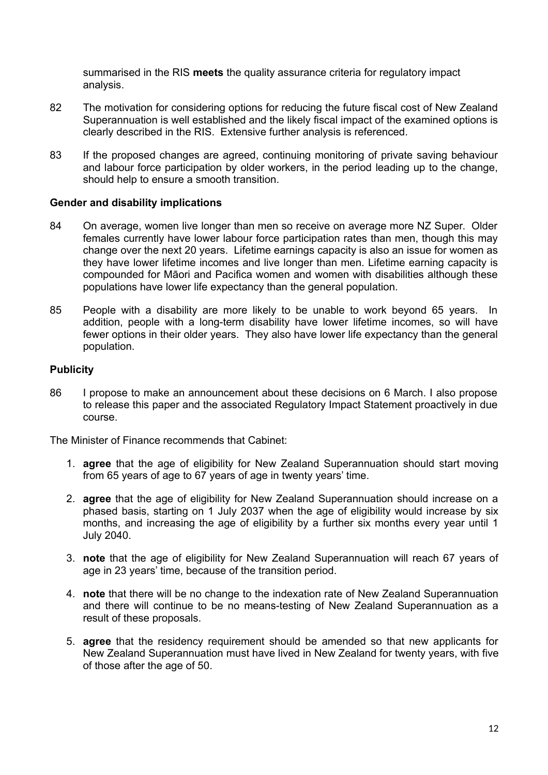summarised in the RIS **meets** the quality assurance criteria for regulatory impact analysis.

- 82 The motivation for considering options for reducing the future fiscal cost of New Zealand Superannuation is well established and the likely fiscal impact of the examined options is clearly described in the RIS. Extensive further analysis is referenced.
- 83 If the proposed changes are agreed, continuing monitoring of private saving behaviour and labour force participation by older workers, in the period leading up to the change, should help to ensure a smooth transition.

### **Gender and disability implications**

- 84 On average, women live longer than men so receive on average more NZ Super. Older females currently have lower labour force participation rates than men, though this may change over the next 20 years. Lifetime earnings capacity is also an issue for women as they have lower lifetime incomes and live longer than men. Lifetime earning capacity is compounded for Māori and Pacifica women and women with disabilities although these populations have lower life expectancy than the general population.
- 85 People with a disability are more likely to be unable to work beyond 65 years. In addition, people with a long-term disability have lower lifetime incomes, so will have fewer options in their older years. They also have lower life expectancy than the general population.

# **Publicity**

86 I propose to make an announcement about these decisions on 6 March. I also propose to release this paper and the associated Regulatory Impact Statement proactively in due course.

The Minister of Finance recommends that Cabinet:

- 1. **agree** that the age of eligibility for New Zealand Superannuation should start moving from 65 years of age to 67 years of age in twenty years' time.
- 2. **agree** that the age of eligibility for New Zealand Superannuation should increase on a phased basis, starting on 1 July 2037 when the age of eligibility would increase by six months, and increasing the age of eligibility by a further six months every year until 1 July 2040.
- 3. **note** that the age of eligibility for New Zealand Superannuation will reach 67 years of age in 23 years' time, because of the transition period.
- 4. **note** that there will be no change to the indexation rate of New Zealand Superannuation and there will continue to be no means-testing of New Zealand Superannuation as a result of these proposals.
- 5. **agree** that the residency requirement should be amended so that new applicants for New Zealand Superannuation must have lived in New Zealand for twenty years, with five of those after the age of 50.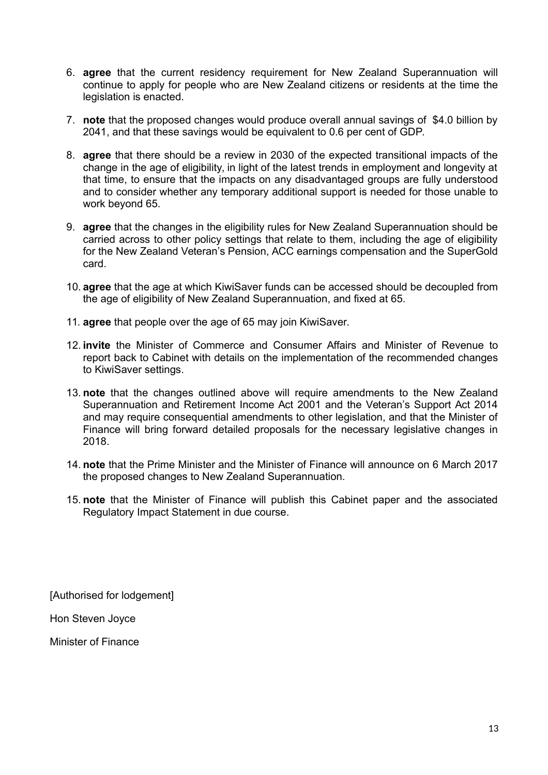- 6. **agree** that the current residency requirement for New Zealand Superannuation will continue to apply for people who are New Zealand citizens or residents at the time the legislation is enacted.
- 7. **note** that the proposed changes would produce overall annual savings of \$4.0 billion by 2041, and that these savings would be equivalent to 0.6 per cent of GDP.
- 8. **agree** that there should be a review in 2030 of the expected transitional impacts of the change in the age of eligibility, in light of the latest trends in employment and longevity at that time, to ensure that the impacts on any disadvantaged groups are fully understood and to consider whether any temporary additional support is needed for those unable to work beyond 65.
- 9. **agree** that the changes in the eligibility rules for New Zealand Superannuation should be carried across to other policy settings that relate to them, including the age of eligibility for the New Zealand Veteran's Pension, ACC earnings compensation and the SuperGold card.
- 10. **agree** that the age at which KiwiSaver funds can be accessed should be decoupled from the age of eligibility of New Zealand Superannuation, and fixed at 65.
- 11. **agree** that people over the age of 65 may join KiwiSaver.
- 12. **invite** the Minister of Commerce and Consumer Affairs and Minister of Revenue to report back to Cabinet with details on the implementation of the recommended changes to KiwiSaver settings.
- 13. **note** that the changes outlined above will require amendments to the New Zealand Superannuation and Retirement Income Act 2001 and the Veteran's Support Act 2014 and may require consequential amendments to other legislation, and that the Minister of Finance will bring forward detailed proposals for the necessary legislative changes in 2018.
- 14. **note** that the Prime Minister and the Minister of Finance will announce on 6 March 2017 the proposed changes to New Zealand Superannuation.
- 15. **note** that the Minister of Finance will publish this Cabinet paper and the associated Regulatory Impact Statement in due course.

[Authorised for lodgement]

Hon Steven Joyce

Minister of Finance